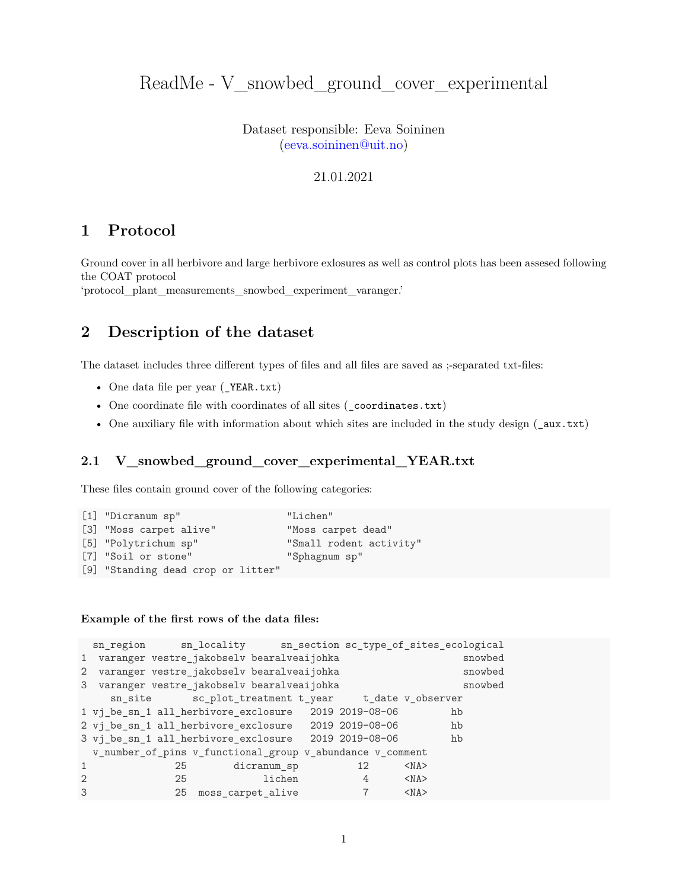# ReadMe - V\_snowbed\_ground\_cover\_experimental

Dataset responsible: Eeva Soininen [\(eeva.soininen@uit.no\)](mailto:eeva.soininen@uit.no)

#### 21.01.2021

## **1 Protocol**

Ground cover in all herbivore and large herbivore exlosures as well as control plots has been assesed following the COAT protocol

'protocol\_plant\_measurements\_snowbed\_experiment\_varanger.'

# **2 Description of the dataset**

The dataset includes three different types of files and all files are saved as ;-separated txt-files:

- One data file per year (\_YEAR.txt)
- One coordinate file with coordinates of all sites (\_coordinates.txt)
- One auxiliary file with information about which sites are included in the study design (\_aux.txt)

### **2.1 V\_snowbed\_ground\_cover\_experimental\_YEAR.txt**

These files contain ground cover of the following categories:

```
[1] "Dicranum sp" "Lichen"
[3] "Moss carpet alive" "Moss carpet dead"
[5] "Polytrichum sp" "Small rodent activity"
[7] "Soil or stone" "Sphagnum sp"
[9] "Standing dead crop or litter"
```
#### **Example of the first rows of the data files:**

```
sn_region sn_locality sn_section sc_type_of_sites_ecological
1 varanger vestre jakobselv bearalveaijohka snowbed
2 varanger vestre_jakobselv bearalveaijohka snowbed
3 varanger vestre_jakobselv bearalveaijohka snowbed
   sn_site sc_plot_treatment t_year t_date v_observer
1 vj_be_sn_1 all_herbivore_exclosure 2019 2019-08-06 hb
2 vj_be_sn_1 all_herbivore_exclosure 2019 2019-08-06 hb
3 vj_be_sn_1 all_herbivore_exclosure 2019 2019-08-06 hb
 v_number_of_pins v_functional_group v_abundance v_comment
1 25 dicranum_sp 12 <NA>
2 25 1ichen 4 <NA>
3 25 moss_carpet_alive 7 <NA>
```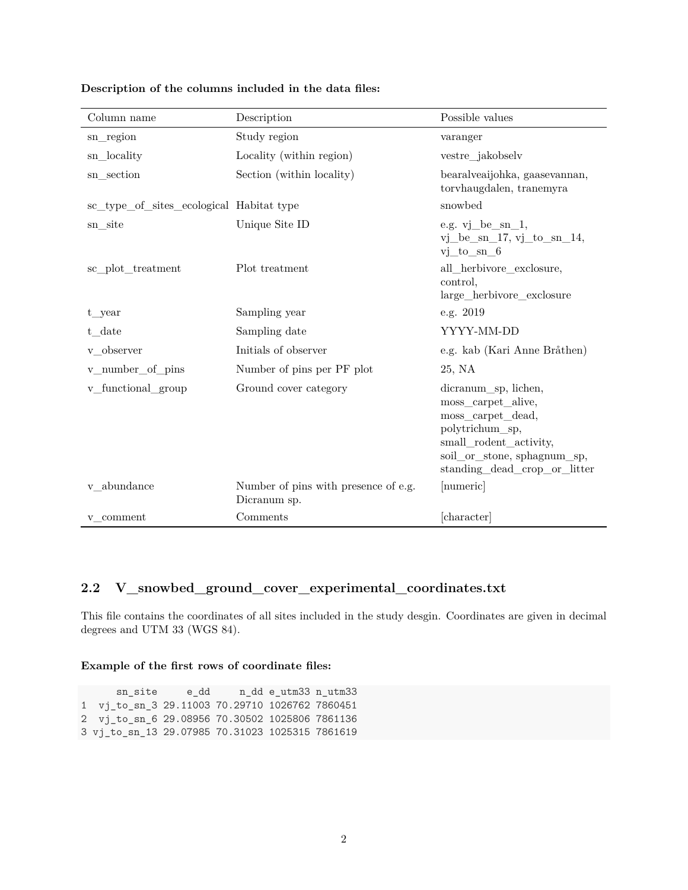| Column name                              | Description                                          | Possible values                                                                                                                                                             |  |
|------------------------------------------|------------------------------------------------------|-----------------------------------------------------------------------------------------------------------------------------------------------------------------------------|--|
| sn_region                                | Study region                                         | varanger                                                                                                                                                                    |  |
| sn locality                              | Locality (within region)                             | vestre_jakobselv                                                                                                                                                            |  |
| sn section                               | Section (within locality)                            | bearalveaijohka, gaasevannan,<br>torvhaugdalen, tranemyra                                                                                                                   |  |
| sc_type_of_sites_ecological Habitat type |                                                      | snowbed                                                                                                                                                                     |  |
| sn site                                  | Unique Site ID                                       | e.g. vj_be_sn_1,<br>$vi$ be sn 17, $v$ j to sn 14,<br>$vi_to sn_6$                                                                                                          |  |
| sc plot treatment                        | Plot treatment                                       | all herbivore exclosure,<br>control,<br>large herbivore exclosure                                                                                                           |  |
| t year                                   | Sampling year                                        | e.g. 2019                                                                                                                                                                   |  |
| t date                                   | Sampling date                                        | YYYY-MM-DD                                                                                                                                                                  |  |
| v_observer                               | Initials of observer                                 | e.g. kab (Kari Anne Bråthen)                                                                                                                                                |  |
| v_number_of_pins                         | Number of pins per PF plot                           | 25, NA                                                                                                                                                                      |  |
| v functional group                       | Ground cover category                                | dicranum sp, lichen,<br>moss carpet alive,<br>moss_carpet_dead,<br>polytrichum sp,<br>small_rodent_activity,<br>soil_or_stone, sphagnum_sp,<br>standing dead crop or litter |  |
| v abundance                              | Number of pins with presence of e.g.<br>Dicranum sp. | [numeric]                                                                                                                                                                   |  |
| v comment                                | Comments                                             | [character]                                                                                                                                                                 |  |

### **Description of the columns included in the data files:**

### **2.2 V\_snowbed\_ground\_cover\_experimental\_coordinates.txt**

This file contains the coordinates of all sites included in the study desgin. Coordinates are given in decimal degrees and UTM 33 (WGS 84).

#### **Example of the first rows of coordinate files:**

sn\_site e\_dd n\_dd e\_utm33 n\_utm33 1 vj\_to\_sn\_3 29.11003 70.29710 1026762 7860451 2 vj\_to\_sn\_6 29.08956 70.30502 1025806 7861136 3 vj\_to\_sn\_13 29.07985 70.31023 1025315 7861619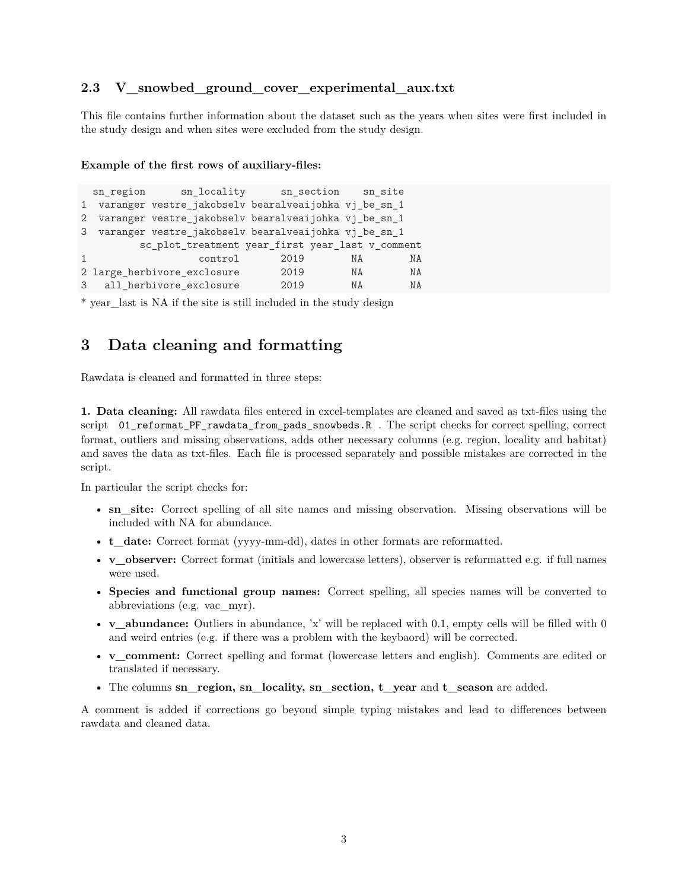### **2.3 V\_snowbed\_ground\_cover\_experimental\_aux.txt**

This file contains further information about the dataset such as the years when sites were first included in the study design and when sites were excluded from the study design.

#### **Example of the first rows of auxiliary-files:**

|                | sn region | sn_locality sn_section sn_site                         |      |           |           |
|----------------|-----------|--------------------------------------------------------|------|-----------|-----------|
| 1              |           | varanger vestre_jakobselv bearalveaijohka vj_be_sn_1   |      |           |           |
| $\overline{2}$ |           | varanger vestre_jakobselv bearalveaijohka vj_be_sn_1   |      |           |           |
|                |           | 3 varanger vestre_jakobselv bearalveaijohka vj_be_sn_1 |      |           |           |
|                |           | sc_plot_treatment year_first year_last v_comment       |      |           |           |
|                |           | control                                                | 2019 | NA        | <b>NA</b> |
|                |           | 2 large_herbivore_exclosure                            | 2019 | NA        | <b>NA</b> |
|                |           | 3 all_herbivore_exclosure                              | 2019 | <b>NA</b> | NA        |

\* year\_last is NA if the site is still included in the study design

### **3 Data cleaning and formatting**

Rawdata is cleaned and formatted in three steps:

**1. Data cleaning:** All rawdata files entered in excel-templates are cleaned and saved as txt-files using the script 01\_reformat\_PF\_rawdata\_from\_pads\_snowbeds.R . The script checks for correct spelling, correct format, outliers and missing observations, adds other necessary columns (e.g. region, locality and habitat) and saves the data as txt-files. Each file is processed separately and possible mistakes are corrected in the script.

In particular the script checks for:

- **sn** site: Correct spelling of all site names and missing observation. Missing observations will be included with NA for abundance.
- **t\_date:** Correct format (yyyy-mm-dd), dates in other formats are reformatted.
- **v\_observer:** Correct format (initials and lowercase letters), observer is reformatted e.g. if full names were used.
- **Species and functional group names:** Correct spelling, all species names will be converted to abbreviations (e.g. vac\_myr).
- **v\_abundance:** Outliers in abundance, 'x' will be replaced with 0.1, empty cells will be filled with 0 and weird entries (e.g. if there was a problem with the keybaord) will be corrected.
- **v\_comment:** Correct spelling and format (lowercase letters and english). Comments are edited or translated if necessary.
- The columns **sn** region, sn locality, sn section, t year and t season are added.

A comment is added if corrections go beyond simple typing mistakes and lead to differences between rawdata and cleaned data.